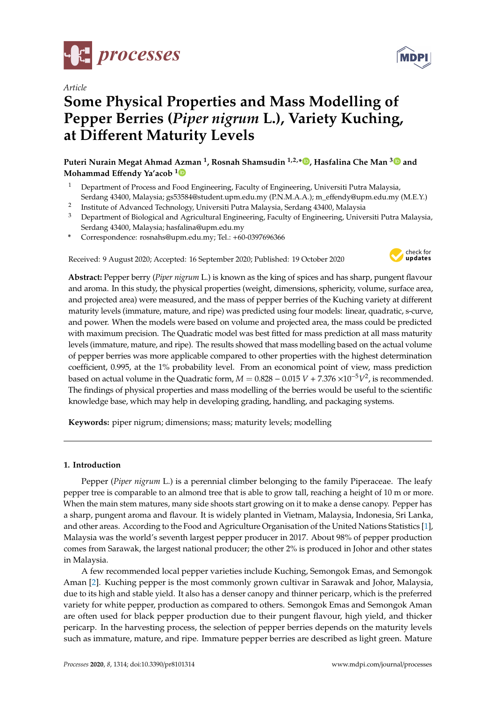

*Article*

# **Some Physical Properties and Mass Modelling of Pepper Berries (***Piper nigrum* **L.), Variety Kuching, at Di**ff**erent Maturity Levels**

**Puteri Nurain Megat Ahmad Azman <sup>1</sup> , Rosnah Shamsudin 1,2,\* [,](https://orcid.org/0000-0003-4849-9675) Hasfalina Che Man [3](https://orcid.org/0000-0001-8514-2152) and Mohammad E**ff**endy Ya'acob [1](https://orcid.org/0000-0002-4834-4019)**

- <sup>1</sup> Department of Process and Food Engineering, Faculty of Engineering, Universiti Putra Malaysia, Serdang 43400, Malaysia; gs53584@student.upm.edu.my (P.N.M.A.A.); m\_effendy@upm.edu.my (M.E.Y.)
- 2 Institute of Advanced Technology, Universiti Putra Malaysia, Serdang 43400, Malaysia
- <sup>3</sup> Department of Biological and Agricultural Engineering, Faculty of Engineering, Universiti Putra Malaysia, Serdang 43400, Malaysia; hasfalina@upm.edu.my
- **\*** Correspondence: rosnahs@upm.edu.my; Tel.: +60-0397696366

Received: 9 August 2020; Accepted: 16 September 2020; Published: 19 October 2020



**Abstract:** Pepper berry (*Piper nigrum* L.) is known as the king of spices and has sharp, pungent flavour and aroma. In this study, the physical properties (weight, dimensions, sphericity, volume, surface area, and projected area) were measured, and the mass of pepper berries of the Kuching variety at different maturity levels (immature, mature, and ripe) was predicted using four models: linear, quadratic, s-curve, and power. When the models were based on volume and projected area, the mass could be predicted with maximum precision. The Quadratic model was best fitted for mass prediction at all mass maturity levels (immature, mature, and ripe). The results showed that mass modelling based on the actual volume of pepper berries was more applicable compared to other properties with the highest determination coefficient, 0.995, at the 1% probability level. From an economical point of view, mass prediction based on actual volume in the Quadratic form,  $M = 0.828 - 0.015 V + 7.376 \times 10^{-5} V^2$ , is recommended. The findings of physical properties and mass modelling of the berries would be useful to the scientific knowledge base, which may help in developing grading, handling, and packaging systems.

**Keywords:** piper nigrum; dimensions; mass; maturity levels; modelling

# **1. Introduction**

Pepper (*Piper nigrum* L.) is a perennial climber belonging to the family Piperaceae. The leafy pepper tree is comparable to an almond tree that is able to grow tall, reaching a height of 10 m or more. When the main stem matures, many side shoots start growing on it to make a dense canopy. Pepper has a sharp, pungent aroma and flavour. It is widely planted in Vietnam, Malaysia, Indonesia, Sri Lanka, and other areas. According to the Food and Agriculture Organisation of the United Nations Statistics [\[1\]](#page-14-0), Malaysia was the world's seventh largest pepper producer in 2017. About 98% of pepper production comes from Sarawak, the largest national producer; the other 2% is produced in Johor and other states in Malaysia.

A few recommended local pepper varieties include Kuching, Semongok Emas, and Semongok Aman [\[2\]](#page-14-1). Kuching pepper is the most commonly grown cultivar in Sarawak and Johor, Malaysia, due to its high and stable yield. It also has a denser canopy and thinner pericarp, which is the preferred variety for white pepper, production as compared to others. Semongok Emas and Semongok Aman are often used for black pepper production due to their pungent flavour, high yield, and thicker pericarp. In the harvesting process, the selection of pepper berries depends on the maturity levels such as immature, mature, and ripe. Immature pepper berries are described as light green. Mature

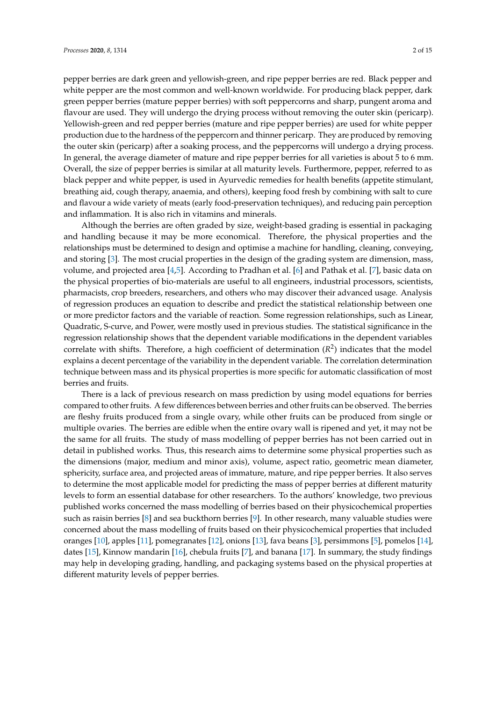pepper berries are dark green and yellowish-green, and ripe pepper berries are red. Black pepper and white pepper are the most common and well-known worldwide. For producing black pepper, dark green pepper berries (mature pepper berries) with soft peppercorns and sharp, pungent aroma and flavour are used. They will undergo the drying process without removing the outer skin (pericarp). Yellowish-green and red pepper berries (mature and ripe pepper berries) are used for white pepper production due to the hardness of the peppercorn and thinner pericarp. They are produced by removing the outer skin (pericarp) after a soaking process, and the peppercorns will undergo a drying process. In general, the average diameter of mature and ripe pepper berries for all varieties is about 5 to 6 mm. Overall, the size of pepper berries is similar at all maturity levels. Furthermore, pepper, referred to as black pepper and white pepper, is used in Ayurvedic remedies for health benefits (appetite stimulant, breathing aid, cough therapy, anaemia, and others), keeping food fresh by combining with salt to cure and flavour a wide variety of meats (early food-preservation techniques), and reducing pain perception and inflammation. It is also rich in vitamins and minerals.

Although the berries are often graded by size, weight-based grading is essential in packaging and handling because it may be more economical. Therefore, the physical properties and the relationships must be determined to design and optimise a machine for handling, cleaning, conveying, and storing [\[3\]](#page-14-2). The most crucial properties in the design of the grading system are dimension, mass, volume, and projected area [\[4,](#page-14-3)[5\]](#page-14-4). According to Pradhan et al. [\[6\]](#page-14-5) and Pathak et al. [\[7\]](#page-14-6), basic data on the physical properties of bio-materials are useful to all engineers, industrial processors, scientists, pharmacists, crop breeders, researchers, and others who may discover their advanced usage. Analysis of regression produces an equation to describe and predict the statistical relationship between one or more predictor factors and the variable of reaction. Some regression relationships, such as Linear, Quadratic, S-curve, and Power, were mostly used in previous studies. The statistical significance in the regression relationship shows that the dependent variable modifications in the dependent variables correlate with shifts. Therefore, a high coefficient of determination  $(R^2)$  indicates that the model explains a decent percentage of the variability in the dependent variable. The correlation determination technique between mass and its physical properties is more specific for automatic classification of most berries and fruits.

There is a lack of previous research on mass prediction by using model equations for berries compared to other fruits. A few differences between berries and other fruits can be observed. The berries are fleshy fruits produced from a single ovary, while other fruits can be produced from single or multiple ovaries. The berries are edible when the entire ovary wall is ripened and yet, it may not be the same for all fruits. The study of mass modelling of pepper berries has not been carried out in detail in published works. Thus, this research aims to determine some physical properties such as the dimensions (major, medium and minor axis), volume, aspect ratio, geometric mean diameter, sphericity, surface area, and projected areas of immature, mature, and ripe pepper berries. It also serves to determine the most applicable model for predicting the mass of pepper berries at different maturity levels to form an essential database for other researchers. To the authors' knowledge, two previous published works concerned the mass modelling of berries based on their physicochemical properties such as raisin berries [\[8\]](#page-14-7) and sea buckthorn berries [\[9\]](#page-14-8). In other research, many valuable studies were concerned about the mass modelling of fruits based on their physicochemical properties that included oranges [\[10\]](#page-14-9), apples [\[11\]](#page-14-10), pomegranates [\[12\]](#page-14-11), onions [\[13\]](#page-14-12), fava beans [\[3\]](#page-14-2), persimmons [\[5\]](#page-14-4), pomelos [\[14\]](#page-14-13), dates [\[15\]](#page-14-14), Kinnow mandarin [\[16\]](#page-14-15), chebula fruits [\[7\]](#page-14-6), and banana [\[17\]](#page-14-16). In summary, the study findings may help in developing grading, handling, and packaging systems based on the physical properties at different maturity levels of pepper berries.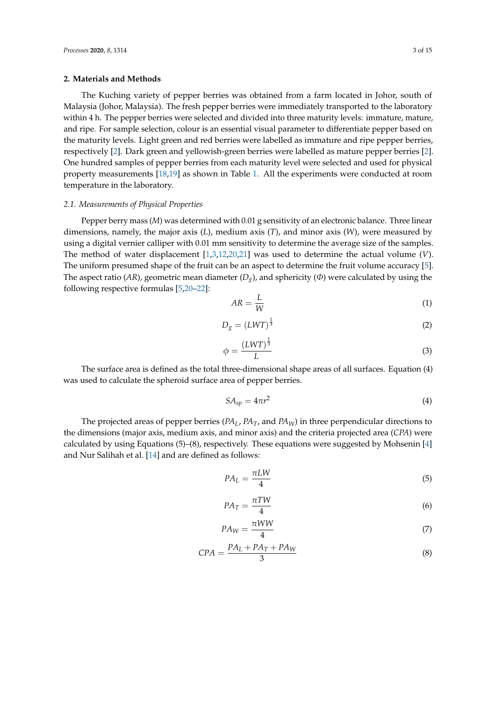## **2. Materials and Methods**

The Kuching variety of pepper berries was obtained from a farm located in Johor, south of Malaysia (Johor, Malaysia). The fresh pepper berries were immediately transported to the laboratory within 4 h. The pepper berries were selected and divided into three maturity levels: immature, mature, and ripe. For sample selection, colour is an essential visual parameter to differentiate pepper based on the maturity levels. Light green and red berries were labelled as immature and ripe pepper berries, respectively [\[2\]](#page-14-1). Dark green and yellowish-green berries were labelled as mature pepper berries [\[2\]](#page-14-1). One hundred samples of pepper berries from each maturity level were selected and used for physical property measurements [\[18](#page-14-17)[,19\]](#page-14-18) as shown in Table [1.](#page-3-0) All the experiments were conducted at room temperature in the laboratory.

## *2.1. Measurements of Physical Properties*

Pepper berry mass (*M*) was determined with 0.01 g sensitivity of an electronic balance. Three linear dimensions, namely, the major axis (*L*), medium axis (*T*), and minor axis (*W*), were measured by using a digital vernier calliper with 0.01 mm sensitivity to determine the average size of the samples. The method of water displacement [\[1,](#page-14-0)[3,](#page-14-2)[12,](#page-14-11)[20,](#page-14-19)[21\]](#page-14-20) was used to determine the actual volume (*V*). The uniform presumed shape of the fruit can be an aspect to determine the fruit volume accuracy [\[5\]](#page-14-4). The aspect ratio (*AR*), geometric mean diameter ( $D_g$ ), and sphericity ( $\Phi$ ) were calculated by using the following respective formulas [\[5](#page-14-4)[,20](#page-14-19)[–22\]](#page-14-21):

$$
AR = \frac{L}{W} \tag{1}
$$

$$
D_g = (LWT)^{\frac{1}{3}}\tag{2}
$$

$$
\phi = \frac{(LWT)^{\frac{1}{3}}}{L} \tag{3}
$$

The surface area is defined as the total three-dimensional shape areas of all surfaces. Equation (4) was used to calculate the spheroid surface area of pepper berries.

$$
SA_{sp} = 4\pi r^2 \tag{4}
$$

The projected areas of pepper berries (*PAL*, *PAT*, and *PAW*) in three perpendicular directions to the dimensions (major axis, medium axis, and minor axis) and the criteria projected area (*CPA*) were calculated by using Equations (5)–(8), respectively. These equations were suggested by Mohsenin [\[4\]](#page-14-3) and Nur Salihah et al. [\[14\]](#page-14-13) and are defined as follows:

$$
PA_L = \frac{\pi L W}{4} \tag{5}
$$

$$
PA_T = \frac{\pi TW}{4} \tag{6}
$$

$$
PA_W = \frac{\pi WW}{4} \tag{7}
$$

$$
CPA = \frac{PA_L + PA_T + PA_W}{3} \tag{8}
$$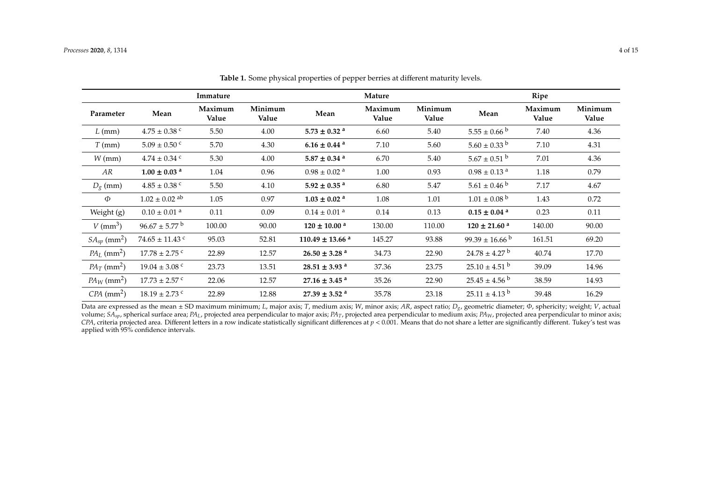|                              |                               | Immature         |                  |                                 | Mature           |                  |                               | Ripe             |                  |
|------------------------------|-------------------------------|------------------|------------------|---------------------------------|------------------|------------------|-------------------------------|------------------|------------------|
| Parameter                    | Mean                          | Maximum<br>Value | Minimum<br>Value | Mean                            | Maximum<br>Value | Minimum<br>Value | Mean                          | Maximum<br>Value | Minimum<br>Value |
| $L$ (mm)                     | $4.75 \pm 0.38$ c             | 5.50             | 4.00             | $5.73 \pm 0.32$ <sup>a</sup>    | 6.60             | 5.40             | $5.55 \pm 0.66^{\circ b}$     | 7.40             | 4.36             |
| $T$ (mm)                     | $5.09 \pm 0.50$ c             | 5.70             | 4.30             | $6.16 \pm 0.44$ <sup>a</sup>    | 7.10             | 5.60             | $5.60 \pm 0.33$ b             | 7.10             | 4.31             |
| $W$ (mm)                     | $4.74 \pm 0.34$ c             | 5.30             | 4.00             | $5.87 \pm 0.34$ <sup>a</sup>    | 6.70             | 5.40             | $5.67 \pm 0.51$ b             | 7.01             | 4.36             |
| AR                           | $1.00 \pm 0.03$ <sup>a</sup>  | 1.04             | 0.96             | $0.98 \pm 0.02$ <sup>a</sup>    | 1.00             | 0.93             | $0.98 \pm 0.13$ <sup>a</sup>  | 1.18             | 0.79             |
| $D_g$ (mm)                   | $4.85 \pm 0.38$ c             | 5.50             | 4.10             | $5.92 \pm 0.35$ <sup>a</sup>    | 6.80             | 5.47             | $5.61 \pm 0.46^{\mathrm{b}}$  | 7.17             | 4.67             |
| Ф                            | $1.02 \pm 0.02$ <sup>ab</sup> | 1.05             | 0.97             | $1.03 \pm 0.02$ <sup>a</sup>    | 1.08             | 1.01             | $1.01 \pm 0.08$ <sup>b</sup>  | 1.43             | 0.72             |
| Weight (g)                   | $0.10\pm0.01$ $^{\rm a}$      | 0.11             | 0.09             | $0.14 \pm 0.01$ <sup>a</sup>    | 0.14             | 0.13             | $0.15 \pm 0.04$ <sup>a</sup>  | 0.23             | 0.11             |
| $V$ (mm <sup>3</sup> )       | $96.67 \pm 5.77$ <sup>b</sup> | 100.00           | 90.00            | $120 \pm 10.00^{\text{ a}}$     | 130.00           | 110.00           | $120 \pm 21.60$ <sup>a</sup>  | 140.00           | 90.00            |
| $SA_{sp}$ (mm <sup>2</sup> ) | $74.65 \pm 11.43$ c           | 95.03            | 52.81            | $110.49 \pm 13.66$ <sup>a</sup> | 145.27           | 93.88            | $99.39 \pm 16.66^{\circ}$     | 161.51           | 69.20            |
| $PA_L$ (mm <sup>2</sup> )    | $17.78 \pm 2.75$ c            | 22.89            | 12.57            | $26.50 \pm 3.28$ <sup>a</sup>   | 34.73            | 22.90            | $24.78 \pm 4.27$ <sup>b</sup> | 40.74            | 17.70            |
| $PA_T$ (mm <sup>2</sup> )    | $19.04 \pm 3.08$ c            | 23.73            | 13.51            | $28.51 \pm 3.93$ <sup>a</sup>   | 37.36            | 23.75            | $25.10 \pm 4.51$ b            | 39.09            | 14.96            |
| $PA_W$ (mm <sup>2</sup> )    | $17.73 \pm 2.57$ c            | 22.06            | 12.57            | $27.16 \pm 3.45$ <sup>a</sup>   | 35.26            | 22.90            | $25.45 \pm 4.56^{\circ b}$    | 38.59            | 14.93            |
| $CPA$ (mm <sup>2</sup> )     | $18.19 \pm 2.73$ c            | 22.89            | 12.88            | $27.39 \pm 3.52$ <sup>a</sup>   | 35.78            | 23.18            | $25.11 \pm 4.13$ <sup>b</sup> | 39.48            | 16.29            |

**Table 1.** Some physical properties of pepper berries at different maturity levels.

<span id="page-3-0"></span>Data are expressed as the mean ± SD maximum minimum; *L*, major axis; *T*, medium axis; *W*, minor axis; *AR*, aspect ratio; *Dg*, geometric diameter; Φ, sphericity; weight; *V*, actual volume;  $SA_{sp}$ , spherical surface area; PA<sub>L</sub>, projected area perpendicular to major axis; PA<sub>T</sub>, projected area perpendicular to medium axis; PA<sub>W</sub>, projected area perpendicular to minor axis; *CPA*, criteria projected area. Different letters in a row indicate statistically significant differences at *p* < 0.001. Means that do not share a letter are significantly different. Tukey's test was applied with 95% confidence intervals.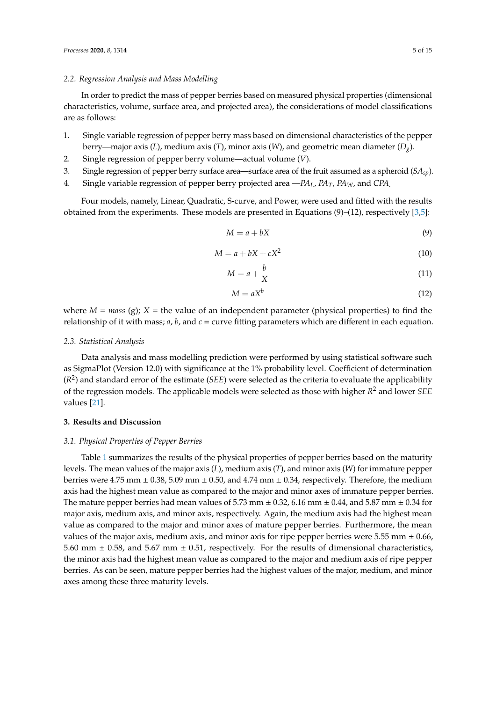## *2.2. Regression Analysis and Mass Modelling*

In order to predict the mass of pepper berries based on measured physical properties (dimensional characteristics, volume, surface area, and projected area), the considerations of model classifications are as follows:

- 1. Single variable regression of pepper berry mass based on dimensional characteristics of the pepper berry—major axis (*L*), medium axis (*T*), minor axis (*W*), and geometric mean diameter (*Dg*).
- 2. Single regression of pepper berry volume—actual volume (*V*).
- 3. Single regression of pepper berry surface area—surface area of the fruit assumed as a spheroid (*SAsp*).
- 4. Single variable regression of pepper berry projected area —*PAL*, *PAT*, *PAW*, and *CPA*.

Four models, namely, Linear, Quadratic, S-curve, and Power, were used and fitted with the results obtained from the experiments. These models are presented in Equations  $(9)$ – $(12)$ , respectively [\[3](#page-14-2)[,5\]](#page-14-4):

$$
M = a + bX \tag{9}
$$

$$
M = a + bX + cX^2 \tag{10}
$$

$$
M = a + \frac{b}{X} \tag{11}
$$

$$
M = aX^b \tag{12}
$$

where  $M = mass$  (g);  $X =$  the value of an independent parameter (physical properties) to find the relationship of it with mass;  $a$ ,  $b$ , and  $c =$  curve fitting parameters which are different in each equation.

## *2.3. Statistical Analysis*

Data analysis and mass modelling prediction were performed by using statistical software such as SigmaPlot (Version 12.0) with significance at the 1% probability level. Coefficient of determination (*R* 2 ) and standard error of the estimate (*SEE*) were selected as the criteria to evaluate the applicability of the regression models. The applicable models were selected as those with higher *R* <sup>2</sup> and lower *SEE* values [\[21\]](#page-14-20).

## **3. Results and Discussion**

## *3.1. Physical Properties of Pepper Berries*

Table [1](#page-3-0) summarizes the results of the physical properties of pepper berries based on the maturity levels. The mean values of the major axis (*L*), medium axis (*T*), and minor axis (*W*) for immature pepper berries were 4.75 mm  $\pm$  0.38, 5.09 mm  $\pm$  0.50, and 4.74 mm  $\pm$  0.34, respectively. Therefore, the medium axis had the highest mean value as compared to the major and minor axes of immature pepper berries. The mature pepper berries had mean values of 5.73 mm  $\pm$  0.32, 6.16 mm  $\pm$  0.44, and 5.87 mm  $\pm$  0.34 for major axis, medium axis, and minor axis, respectively. Again, the medium axis had the highest mean value as compared to the major and minor axes of mature pepper berries. Furthermore, the mean values of the major axis, medium axis, and minor axis for ripe pepper berries were  $5.55$  mm  $\pm 0.66$ , 5.60 mm  $\pm$  0.58, and 5.67 mm  $\pm$  0.51, respectively. For the results of dimensional characteristics, the minor axis had the highest mean value as compared to the major and medium axis of ripe pepper berries. As can be seen, mature pepper berries had the highest values of the major, medium, and minor axes among these three maturity levels.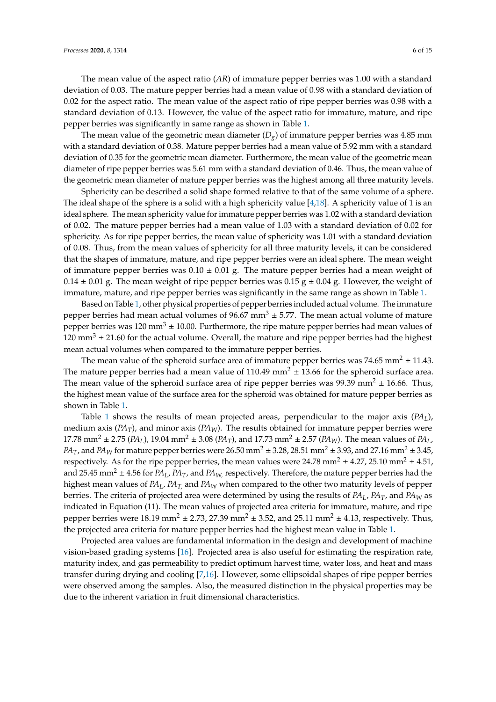The mean value of the aspect ratio (*AR*) of immature pepper berries was 1.00 with a standard deviation of 0.03. The mature pepper berries had a mean value of 0.98 with a standard deviation of 0.02 for the aspect ratio. The mean value of the aspect ratio of ripe pepper berries was 0.98 with a standard deviation of 0.13. However, the value of the aspect ratio for immature, mature, and ripe pepper berries was significantly in same range as shown in Table [1.](#page-3-0)

The mean value of the geometric mean diameter  $(D_g)$  of immature pepper berries was 4.85 mm with a standard deviation of 0.38. Mature pepper berries had a mean value of 5.92 mm with a standard deviation of 0.35 for the geometric mean diameter. Furthermore, the mean value of the geometric mean diameter of ripe pepper berries was 5.61 mm with a standard deviation of 0.46. Thus, the mean value of the geometric mean diameter of mature pepper berries was the highest among all three maturity levels.

Sphericity can be described a solid shape formed relative to that of the same volume of a sphere. The ideal shape of the sphere is a solid with a high sphericity value  $[4,18]$  $[4,18]$ . A sphericity value of 1 is an ideal sphere. The mean sphericity value for immature pepper berries was 1.02 with a standard deviation of 0.02. The mature pepper berries had a mean value of 1.03 with a standard deviation of 0.02 for sphericity. As for ripe pepper berries, the mean value of sphericity was 1.01 with a standard deviation of 0.08. Thus, from the mean values of sphericity for all three maturity levels, it can be considered that the shapes of immature, mature, and ripe pepper berries were an ideal sphere. The mean weight of immature pepper berries was  $0.10 \pm 0.01$  g. The mature pepper berries had a mean weight of  $0.14 \pm 0.01$  g. The mean weight of ripe pepper berries was  $0.15$  g  $\pm 0.04$  g. However, the weight of immature, mature, and ripe pepper berries was significantly in the same range as shown in Table [1.](#page-3-0)

Based on Table [1,](#page-3-0) other physical properties of pepper berries included actual volume. The immature pepper berries had mean actual volumes of  $96.67$  mm<sup>3</sup>  $\pm$  5.77. The mean actual volume of mature pepper berries was 120 mm<sup>3</sup>  $\pm$  10.00. Furthermore, the ripe mature pepper berries had mean values of  $120 \text{ mm}^3 \pm 21.60$  for the actual volume. Overall, the mature and ripe pepper berries had the highest mean actual volumes when compared to the immature pepper berries.

The mean value of the spheroid surface area of immature pepper berries was 74.65 mm<sup>2</sup>  $\pm$  11.43. The mature pepper berries had a mean value of 110.49 mm<sup>2</sup>  $\pm$  13.66 for the spheroid surface area. The mean value of the spheroid surface area of ripe pepper berries was 99.39 mm<sup>2</sup>  $\pm$  16.66. Thus, the highest mean value of the surface area for the spheroid was obtained for mature pepper berries as shown in Table [1.](#page-3-0)

Table [1](#page-3-0) shows the results of mean projected areas, perpendicular to the major axis (*PAL*), medium axis ( $PA_T$ ), and minor axis ( $PA_W$ ). The results obtained for immature pepper berries were 17.78 mm<sup>2</sup>  $\pm$  2.75 (*PA*<sub>*L*</sub>), 19.04 mm<sup>2</sup>  $\pm$  3.08 (*PA*<sub>*T*</sub>), and 17.73 mm<sup>2</sup>  $\pm$  2.57 (*PA*<sub>*W*</sub>). The mean values of *PA*<sub>*L*</sub>, *PA*<sub>*T*</sub>, and *PA*<sup>*W*</sup> for mature pepper berries were 26.50 mm<sup>2</sup>  $\pm$  3.28, 28.51 mm<sup>2</sup>  $\pm$  3.93, and 27.16 mm<sup>2</sup>  $\pm$  3.45, respectively. As for the ripe pepper berries, the mean values were  $24.78$  mm<sup>2</sup>  $\pm$  4.27, 25.10 mm<sup>2</sup>  $\pm$  4.51, and 25.45 mm<sup>2</sup>  $\pm$  4.56 for *PA<sub>L</sub>*, *PA*<sub>*T*</sub>, and *PA<sub>W</sub>* respectively. Therefore, the mature pepper berries had the highest mean values of *PAL*, *PAT,* and *PA<sup>W</sup>* when compared to the other two maturity levels of pepper berries. The criteria of projected area were determined by using the results of *PAL*, *PAT*, and *PA<sup>W</sup>* as indicated in Equation (11). The mean values of projected area criteria for immature, mature, and ripe pepper berries were 18.19 mm<sup>2</sup>  $\pm$  2.73, 27.39 mm<sup>2</sup>  $\pm$  3.52, and 25.11 mm<sup>2</sup>  $\pm$  4.13, respectively. Thus, the projected area criteria for mature pepper berries had the highest mean value in Table [1.](#page-3-0)

Projected area values are fundamental information in the design and development of machine vision-based grading systems [\[16\]](#page-14-15). Projected area is also useful for estimating the respiration rate, maturity index, and gas permeability to predict optimum harvest time, water loss, and heat and mass transfer during drying and cooling [\[7,](#page-14-6)[16\]](#page-14-15). However, some ellipsoidal shapes of ripe pepper berries were observed among the samples. Also, the measured distinction in the physical properties may be due to the inherent variation in fruit dimensional characteristics.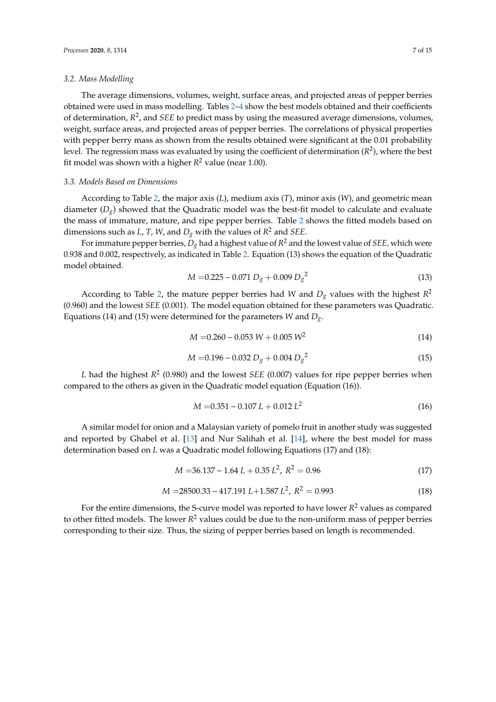#### *3.2. Mass Modelling*

The average dimensions, volumes, weight, surface areas, and projected areas of pepper berries obtained were used in mass modelling. Tables [2](#page-7-0)[–4](#page-10-0) show the best models obtained and their coefficients of determination,  $R^2$ , and *SEE* to predict mass by using the measured average dimensions, volumes, weight, surface areas, and projected areas of pepper berries. The correlations of physical properties with pepper berry mass as shown from the results obtained were significant at the 0.01 probability level. The regression mass was evaluated by using the coefficient of determination (*R* 2 ), where the best fit model was shown with a higher *R* <sup>2</sup> value (near 1.00).

### *3.3. Models Based on Dimensions*

According to Table [2,](#page-7-0) the major axis (*L*), medium axis (*T*), minor axis (*W*), and geometric mean diameter  $(D_g)$  showed that the Quadratic model was the best-fit model to calculate and evaluate the mass of immature, mature, and ripe pepper berries. Table [2](#page-7-0) shows the fitted models based on dimensions such as *L*, *T*, *W*, and *D<sup>g</sup>* with the values of *R* <sup>2</sup> and *SEE*.

For immature pepper berries, *D<sup>g</sup>* had a highest value of *R* <sup>2</sup> and the lowest value of *SEE,* which were 0.938 and 0.002, respectively, as indicated in Table [2.](#page-7-0) Equation (13) shows the equation of the Quadratic model obtained.

$$
M = 0.225 - 0.071 D_g + 0.009 D_g^2 \tag{13}
$$

According to Table [2,](#page-7-0) the mature pepper berries had *W* and  $D_g$  values with the highest  $R^2$ (0.960) and the lowest *SEE* (0.001). The model equation obtained for these parameters was Quadratic. Equations (14) and (15) were determined for the parameters *W* and *Dg*.

$$
M = 0.260 - 0.053 W + 0.005 W^2
$$
\n(14)

$$
M = 0.196 - 0.032 D_g + 0.004 D_g^2 \tag{15}
$$

L had the highest  $R^2$  (0.980) and the lowest *SEE* (0.007) values for ripe pepper berries when compared to the others as given in the Quadratic model equation (Equation (16)).

$$
M = 0.351 - 0.107 L + 0.012 L^2
$$
\n<sup>(16)</sup>

A similar model for onion and a Malaysian variety of pomelo fruit in another study was suggested and reported by Ghabel et al. [\[13\]](#page-14-12) and Nur Salihah et al. [\[14\]](#page-14-13), where the best model for mass determination based on *L* was a Quadratic model following Equations (17) and (18):

$$
M = 36.137 - 1.64 L + 0.35 L^2, R^2 = 0.96
$$
 (17)

$$
M = 28500.33 - 417.191 L + 1.587 L^2, R^2 = 0.993
$$
\n(18)

For the entire dimensions, the S-curve model was reported to have lower *R* <sup>2</sup> values as compared to other fitted models. The lower *R* <sup>2</sup> values could be due to the non-uniform mass of pepper berries corresponding to their size. Thus, the sizing of pepper berries based on length is recommended.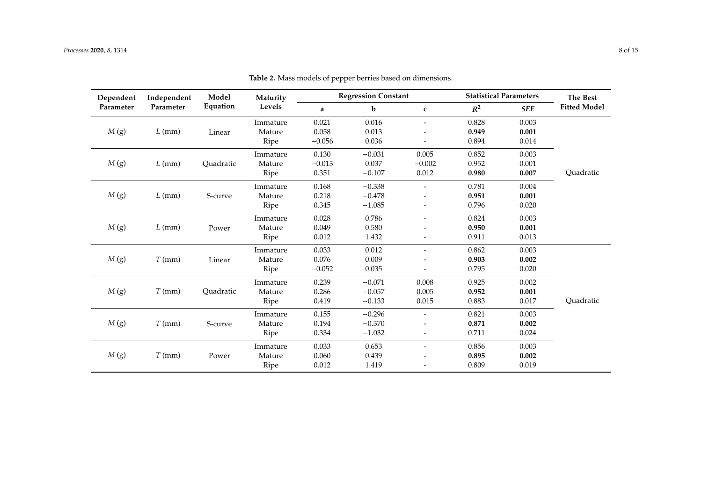<span id="page-7-0"></span>

| Dependent | Independent | Model     | Maturity<br>Levels |          | <b>Regression Constant</b> |                          | <b>Statistical Parameters</b> | The Best   |                     |
|-----------|-------------|-----------|--------------------|----------|----------------------------|--------------------------|-------------------------------|------------|---------------------|
| Parameter | Parameter   | Equation  |                    | a        | b                          | $\mathbf c$              | $R^2$                         | <b>SEE</b> | <b>Fitted Model</b> |
|           |             |           | Immature           | 0.021    | 0.016                      | $\overline{\phantom{a}}$ | 0.828                         | 0.003      |                     |
| M(g)      | $L$ (mm)    | Linear    | Mature             | 0.058    | 0.013                      |                          | 0.949                         | 0.001      |                     |
|           |             |           | Ripe               | $-0.056$ | 0.036                      |                          | 0.894                         | 0.014      |                     |
|           |             |           | Immature           | 0.130    | $-0.031$                   | 0.005                    | 0.852                         | 0.003      |                     |
| M(g)      | $L$ (mm)    | Quadratic | Mature             | $-0.013$ | 0.037                      | $-0.002$                 | 0.952                         | 0.001      |                     |
|           |             |           | Ripe               | 0.351    | $-0.107$                   | 0.012                    | 0.980                         | 0.007      | Quadratic           |
|           |             |           | Immature           | 0.168    | $-0.338$                   |                          | 0.781                         | 0.004      |                     |
| M(g)      | $L$ (mm)    | S-curve   | Mature             | 0.218    | $-0.478$                   |                          | 0.951                         | 0.001      |                     |
|           |             |           | Ripe               | 0.345    | $-1.085$                   | -                        | 0.796                         | 0.020      |                     |
|           |             |           | Immature           | 0.028    | 0.786                      | $\overline{\phantom{0}}$ | 0.824                         | 0.003      |                     |
| M(g)      | $L$ (mm)    | Power     | Mature             | 0.049    | 0.580                      |                          | 0.950                         | 0.001      |                     |
|           |             |           | Ripe               | 0.012    | 1.432                      | -                        | 0.911                         | 0.013      |                     |
|           |             |           | Immature           | 0.033    | 0.012                      | $\overline{\phantom{a}}$ | 0.862                         | 0.003      |                     |
| M(g)      | $T$ (mm)    | Linear    | Mature             | 0.076    | 0.009                      |                          | 0.903                         | 0.002      |                     |
|           |             |           | Ripe               | $-0.052$ | 0.035                      | -                        | 0.795                         | 0.020      |                     |
|           |             |           | Immature           | 0.239    | $-0.071$                   | 0.008                    | 0.925                         | 0.002      |                     |
| M(g)      | $T$ (mm)    | Quadratic | Mature             | 0.286    | $-0.057$                   | 0.005                    | 0.952                         | 0.001      |                     |
|           |             |           | Ripe               | 0.419    | $-0.133$                   | 0.015                    | 0.883                         | 0.017      | Quadratic           |
|           |             |           | Immature           | 0.155    | $-0.296$                   | $\overline{\phantom{0}}$ | 0.821                         | 0.003      |                     |
| M(g)      | $T$ (mm)    | S-curve   | Mature             | 0.194    | $-0.370$                   |                          | 0.871                         | 0.002      |                     |
|           |             |           | Ripe               | 0.334    | $-1.032$                   | -                        | 0.711                         | 0.024      |                     |
|           |             |           | Immature           | 0.033    | 0.653                      | $\overline{\phantom{0}}$ | 0.856                         | 0.003      |                     |
| M(g)      | $T$ (mm)    | Power     | Mature             | 0.060    | 0.439                      |                          | 0.895                         | 0.002      |                     |
|           |             |           | Ripe               | 0.012    | 1.419                      |                          | 0.809                         | 0.019      |                     |

**Table 2.** Mass models of pepper berries based on dimensions.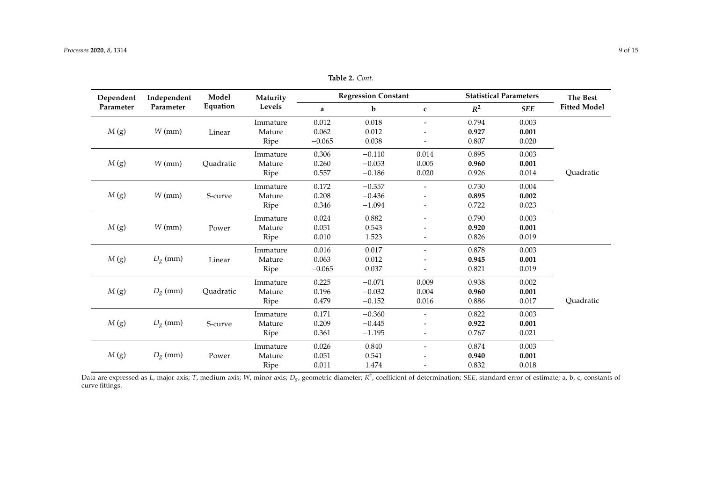| Dependent<br>Parameter<br>Parameter | Independent | Model     | Maturity                    |          | <b>Regression Constant</b> |                          | <b>Statistical Parameters</b> | <b>The Best</b> |                     |  |
|-------------------------------------|-------------|-----------|-----------------------------|----------|----------------------------|--------------------------|-------------------------------|-----------------|---------------------|--|
|                                     |             | Equation  | Levels                      | a        | b                          | $\mathbf c$              | $R^2$                         | <b>SEE</b>      | <b>Fitted Model</b> |  |
|                                     |             |           | Immature                    | 0.012    | 0.018                      |                          | 0.794                         | 0.003           |                     |  |
| M(g)                                | $W$ (mm)    | Linear    | Mature                      | 0.062    | 0.012                      |                          | 0.927                         | 0.001           |                     |  |
|                                     |             |           | Ripe                        | $-0.065$ | 0.038                      | $\overline{\phantom{0}}$ | 0.807                         | 0.020           |                     |  |
|                                     |             |           | Immature                    | 0.306    | $-0.110$                   | 0.014                    | 0.895                         | 0.003           |                     |  |
| M(g)                                | $W$ (mm)    | Quadratic | Mature                      | 0.260    | $-0.053$                   | 0.005                    | 0.960                         | 0.001           |                     |  |
|                                     |             |           | Ripe                        | 0.557    | $-0.186$                   | 0.020                    | 0.926                         | 0.014           | Quadratic           |  |
|                                     |             |           | Immature                    | 0.172    | $-0.357$                   |                          | 0.730                         | 0.004           |                     |  |
| M(g)                                | $W$ (mm)    | S-curve   | Mature                      | 0.208    | $-0.436$                   |                          | 0.895                         | 0.002           |                     |  |
|                                     |             |           | Ripe                        | 0.346    | $-1.094$                   |                          | 0.722                         | 0.023           |                     |  |
|                                     |             |           | Immature                    | 0.024    | 0.882                      | $\overline{\phantom{a}}$ | 0.790                         | 0.003           |                     |  |
| M(g)                                | $W$ (mm)    | Power     | Mature                      | 0.051    | 0.543                      |                          | 0.920                         | 0.001           |                     |  |
|                                     |             |           | Ripe                        | 0.010    | 1.523                      | $\overline{\phantom{0}}$ | 0.826                         | 0.019           |                     |  |
|                                     |             |           | Immature                    | 0.016    | 0.017                      |                          | 0.878                         | 0.003           |                     |  |
| M(g)                                | $D_g$ (mm)  | Linear    | Mature                      | 0.063    | 0.012                      |                          | 0.945                         | 0.001           |                     |  |
|                                     |             |           | Ripe                        | $-0.065$ | 0.037                      |                          | 0.821                         | 0.019           |                     |  |
|                                     |             |           | Immature                    | 0.225    | $-0.071$                   | 0.009                    | 0.938                         | 0.002           |                     |  |
| M(g)                                | $D_g$ (mm)  | Quadratic | Mature                      | 0.196    | $-0.032$                   | 0.004                    | 0.960                         | 0.001           |                     |  |
|                                     |             |           | Ripe                        | 0.479    | $-0.152$                   | 0.016                    | 0.886                         | 0.017           | Quadratic           |  |
|                                     |             |           | Immature                    | 0.171    | $-0.360$                   |                          | 0.822                         | 0.003           |                     |  |
| M(g)                                | $D_g$ (mm)  | S-curve   | 0.209<br>$-0.445$<br>Mature | 0.922    | 0.001                      |                          |                               |                 |                     |  |
|                                     |             |           | Ripe                        | 0.361    | $-1.195$                   |                          | 0.767                         | 0.021           |                     |  |
|                                     |             |           | Immature                    | 0.026    | 0.840                      | $\overline{\phantom{a}}$ | 0.874                         | 0.003           |                     |  |
| M(g)                                | $D_g$ (mm)  | Power     | Mature                      | 0.051    | 0.541                      |                          | 0.940                         | 0.001           |                     |  |
|                                     |             |           |                             | Ripe     | 0.011                      | 1.474                    |                               | 0.832           | 0.018               |  |

**Table 2.** *Cont.*

Data are expressed as L, major axis; T, medium axis; W, minor axis; D<sub>g</sub>, geometric diameter;  $R^2$ , coefficient of determination; SEE, standard error of estimate; a, b, c, constants of curve fittings.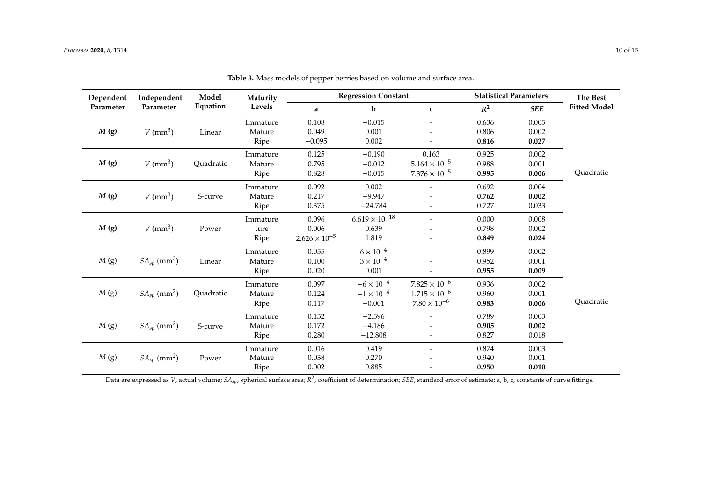| Dependent | Independent                  | Model<br>Equation | Maturity<br>Levels |                        | <b>Regression Constant</b> |                          | <b>Statistical Parameters</b> |            | <b>The Best</b>     |
|-----------|------------------------------|-------------------|--------------------|------------------------|----------------------------|--------------------------|-------------------------------|------------|---------------------|
| Parameter | Parameter                    |                   |                    | a                      | b                          | $\mathbf c$              | $R^2$                         | <b>SEE</b> | <b>Fitted Model</b> |
|           |                              |                   | Immature           | 0.108                  | $-0.015$                   | $\overline{\phantom{a}}$ | 0.636                         | 0.005      |                     |
| M(g)      | $V$ (mm <sup>3</sup> )       | Linear            | Mature             | 0.049                  | 0.001                      |                          | 0.806                         | 0.002      |                     |
|           |                              |                   | Ripe               | $-0.095$               | 0.002                      |                          | 0.816                         | 0.027      |                     |
|           |                              |                   | Immature           | 0.125                  | $-0.190$                   | 0.163                    | 0.925                         | 0.002      |                     |
| M(g)      | $V$ (mm <sup>3</sup> )       | Quadratic         | Mature             | 0.795                  | $-0.012$                   | $5.164 \times 10^{-5}$   | 0.988                         | 0.001      |                     |
|           |                              |                   | Ripe               | 0.828                  | $-0.015$                   | $7.376 \times 10^{-5}$   | 0.995                         | 0.006      | Quadratic           |
|           |                              |                   | Immature           | 0.092                  | 0.002                      |                          | 0.692                         | 0.004      |                     |
| M(g)      | $V$ (mm <sup>3</sup> )       | S-curve           | Mature             | 0.217                  | $-9.947$                   |                          | 0.762                         | 0.002      |                     |
|           |                              |                   | Ripe               | 0.375                  | $-24.784$                  | $\overline{\phantom{a}}$ | 0.727                         | 0.033      |                     |
|           |                              |                   | Immature           | 0.096                  | $6.619 \times 10^{-18}$    | $\overline{\phantom{a}}$ | 0.000                         | 0.008      |                     |
| M(g)      | $V$ (mm <sup>3</sup> )       | Power             | ture               | 0.006                  | 0.639                      |                          | 0.798                         | 0.002      |                     |
|           |                              |                   | Ripe               | $2.626 \times 10^{-5}$ | 1.819                      |                          | 0.849                         | 0.024      |                     |
|           |                              |                   | Immature           | 0.055                  | $6 \times 10^{-4}$         | $\overline{\phantom{a}}$ | 0.899                         | 0.002      |                     |
| M(g)      | $SA_{sp}$ (mm <sup>2</sup> ) | Linear            | Mature             | 0.100                  | $3 \times 10^{-4}$         |                          | 0.952                         | 0.001      |                     |
|           |                              |                   | Ripe               | 0.020                  | 0.001                      |                          | 0.955                         | 0.009      |                     |
|           |                              |                   | Immature           | 0.097                  | $-6 \times 10^{-4}$        | $7.825 \times 10^{-6}$   | 0.936                         | 0.002      |                     |
| M(g)      | $SA_{sp}$ (mm <sup>2</sup> ) | Quadratic         | Mature             | 0.124                  | $-1 \times 10^{-4}$        | $1.715 \times 10^{-6}$   | 0.960                         | 0.001      |                     |
|           |                              |                   | Ripe               | 0.117                  | $-0.001$                   | $7.80 \times 10^{-6}$    | 0.983                         | 0.006      | Quadratic           |
|           |                              |                   | Immature           | 0.132                  | $-2.596$                   |                          | 0.789                         | 0.003      |                     |
| M(g)      | $SA_{sp}$ (mm <sup>2</sup> ) | S-curve           | Mature             | 0.172                  | $-4.186$                   |                          | 0.905                         | 0.002      |                     |
|           |                              |                   | Ripe               | 0.280                  | $-12.808$                  | $\overline{\phantom{a}}$ | 0.827                         | 0.018      |                     |
|           |                              |                   | Immature           | 0.016                  | 0.419                      | $\overline{\phantom{a}}$ | 0.874                         | 0.003      |                     |
| M(g)      | $SA_{sp}$ (mm <sup>2</sup> ) | Power             | Mature             | 0.038                  | 0.270                      |                          | 0.940                         | 0.001      |                     |
|           |                              |                   | Ripe               | 0.002                  | 0.885                      |                          | 0.950                         | 0.010      |                     |

**Table 3.** Mass models of pepper berries based on volume and surface area.

<span id="page-9-0"></span>Data are expressed as *V*, actual volume; *SAsp*, spherical surface area; *R* 2 , coefficient of determination; *SEE*, standard error of estimate; a, b, c, constants of curve fittings.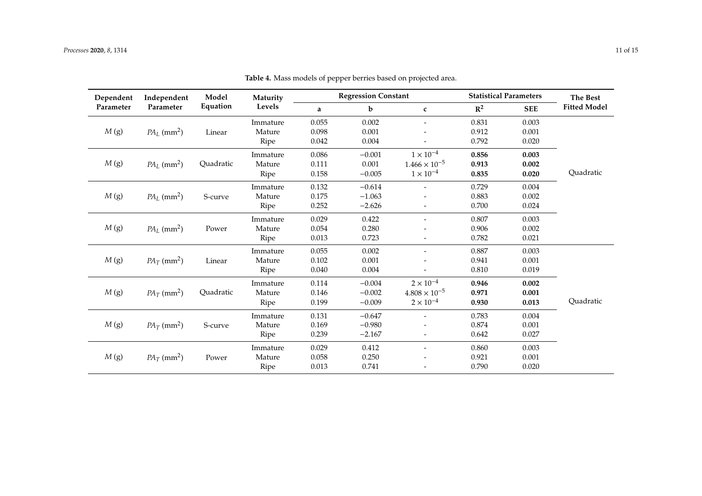<span id="page-10-0"></span>

| Dependent | Independent               | Model     | Maturity<br>Levels                   |       | <b>Regression Constant</b> |                          | <b>Statistical Parameters</b> |            | <b>The Best</b>     |
|-----------|---------------------------|-----------|--------------------------------------|-------|----------------------------|--------------------------|-------------------------------|------------|---------------------|
| Parameter | Parameter                 | Equation  |                                      | a     | $\mathbf b$                | $\mathbf{c}$             | $\mathbb{R}^2$                | <b>SEE</b> | <b>Fitted Model</b> |
|           |                           |           | Immature                             | 0.055 | 0.002                      | $\overline{\phantom{a}}$ | 0.831                         | 0.003      |                     |
| M(g)      | $PA_L$ (mm <sup>2</sup> ) | Linear    | Mature                               | 0.098 | 0.001                      |                          | 0.912                         | 0.001      |                     |
|           |                           |           | Ripe                                 | 0.042 | 0.004                      |                          | 0.792                         | 0.020      |                     |
|           |                           |           | Immature                             | 0.086 | $-0.001$                   | $1 \times 10^{-4}$       | 0.856                         | 0.003      |                     |
| M(g)      | $PA_L$ (mm <sup>2</sup> ) | Quadratic | Mature                               | 0.111 | 0.001                      | $1.466 \times 10^{-5}$   | 0.913                         | 0.002      |                     |
|           |                           |           | Ripe                                 | 0.158 | $-0.005$                   | $1\times10^{-4}$         | 0.835                         | 0.020      | Quadratic           |
|           |                           |           | Immature                             | 0.132 | $-0.614$                   |                          | 0.729                         | 0.004      |                     |
| M(g)      | $PA_L$ (mm <sup>2</sup> ) | S-curve   | Mature                               | 0.175 | $-1.063$                   |                          | 0.883                         | 0.002      |                     |
|           |                           |           | Ripe                                 | 0.252 | $-2.626$                   |                          | 0.700                         | 0.024      |                     |
|           |                           |           | Immature                             | 0.029 | 0.422                      | $\overline{\phantom{0}}$ | 0.807                         | 0.003      |                     |
| M(g)      | $PA_L$ (mm <sup>2</sup> ) | Power     | Mature                               | 0.054 | 0.280                      |                          | 0.906                         | 0.002      |                     |
|           |                           |           | Ripe                                 | 0.013 | 0.723                      |                          | 0.782                         | 0.021      |                     |
|           |                           |           | Immature                             | 0.055 | 0.002                      | $\overline{\phantom{a}}$ | 0.887                         | 0.003      |                     |
| M(g)      | $PA_T$ (mm <sup>2</sup> ) | Linear    | Mature                               | 0.102 | 0.001                      |                          | 0.941                         | 0.001      |                     |
|           |                           |           | Ripe                                 | 0.040 | 0.004                      |                          | 0.810                         | 0.019      |                     |
|           |                           |           | Immature                             | 0.114 | $-0.004$                   | $2\times10^{-4}$         | 0.946                         | 0.002      |                     |
| M(g)      | $PA_T$ (mm <sup>2</sup> ) | Quadratic | Mature                               | 0.146 | $-0.002$                   | $4.808 \times 10^{-5}$   | 0.971                         | 0.001      |                     |
|           |                           |           | Ripe                                 | 0.199 | $-0.009$                   | $2 \times 10^{-4}$       | 0.930                         | 0.013      | Quadratic           |
|           |                           |           | Immature                             | 0.131 | $-0.647$                   |                          | 0.783                         | 0.004      |                     |
| M(g)      | $PA_T$ (mm <sup>2</sup> ) | S-curve   | Mature<br>0.169<br>$-0.980$<br>0.874 |       | 0.001                      |                          |                               |            |                     |
|           |                           |           | Ripe                                 | 0.239 | $-2.167$                   | $\overline{\phantom{a}}$ | 0.642                         | 0.027      |                     |
|           |                           |           | Immature                             | 0.029 | 0.412                      | $\overline{\phantom{0}}$ | 0.860                         | 0.003      |                     |
| M(g)      | $PA_T$ (mm <sup>2</sup> ) | Power     | Mature                               | 0.058 | 0.250                      |                          | 0.921                         | 0.001      |                     |
|           |                           |           | Ripe                                 | 0.013 | 0.741                      |                          | 0.790                         | 0.020      |                     |

**Table 4.** Mass models of pepper berries based on projected area.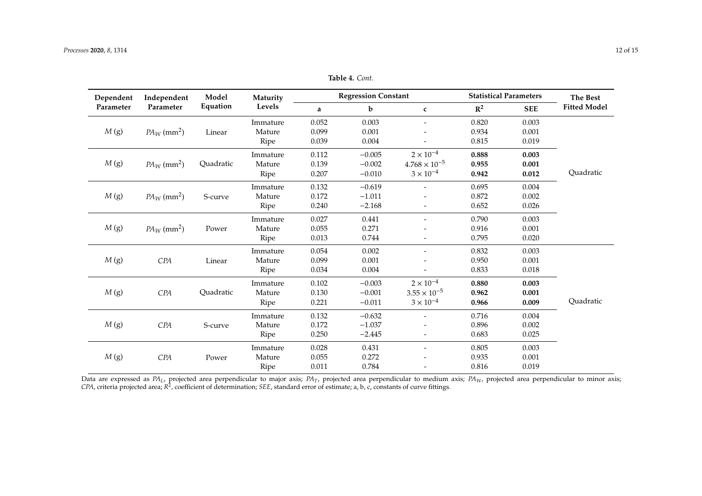*M* (g) *CPA* S-curve

*M* (g) *CPA* Power

| Dependent<br>Parameter            | Independent               | Model     | <b>Maturity</b> |          | <b>Regression Constant</b> |                          | <b>Statistical Parameters</b> |            | The Best            |
|-----------------------------------|---------------------------|-----------|-----------------|----------|----------------------------|--------------------------|-------------------------------|------------|---------------------|
|                                   | Parameter                 | Equation  | Levels          | a        | b                          | $\mathbf c$              | $\mathbb{R}^2$                | <b>SEE</b> | <b>Fitted Model</b> |
|                                   |                           |           | Immature        | 0.052    | 0.003                      |                          | 0.820                         | 0.003      |                     |
| M(g)                              | $PA_W$ (mm <sup>2</sup> ) | Linear    | Mature          | 0.099    | 0.001                      | $\overline{\phantom{a}}$ | 0.934                         | 0.001      |                     |
|                                   |                           |           | Ripe            | 0.039    | 0.004                      |                          | 0.815                         | 0.019      |                     |
|                                   |                           | Immature  | 0.112           | $-0.005$ | $2 \times 10^{-4}$         | 0.888                    | 0.003                         |            |                     |
| M(g)                              | $PA_W$ (mm <sup>2</sup> ) | Quadratic | Mature          | 0.139    | $-0.002$                   | $4.768 \times 10^{-5}$   | 0.955                         | 0.001      |                     |
|                                   |                           | Ripe      | 0.207           | $-0.010$ | $3 \times 10^{-4}$         | 0.942                    | 0.012                         | Quadratic  |                     |
| M(g)<br>$PA_W$ (mm <sup>2</sup> ) |                           | Immature  | 0.132           | $-0.619$ |                            | 0.695                    | 0.004                         |            |                     |
|                                   |                           | S-curve   | Mature          | 0.172    | $-1.011$                   |                          | 0.872                         | 0.002      |                     |
|                                   |                           | Ripe      | 0.240           | $-2.168$ |                            | 0.652                    | 0.026                         |            |                     |
|                                   |                           | Power     | Immature        | 0.027    | 0.441                      | $\overline{\phantom{a}}$ | 0.790                         | 0.003      |                     |
| M(g)                              | $PA_W$ (mm <sup>2</sup> ) |           | Mature          | 0.055    | 0.271                      |                          | 0.916                         | 0.001      |                     |
|                                   |                           |           | Ripe            | 0.013    | 0.744                      | $\overline{\phantom{a}}$ | 0.795                         | 0.020      |                     |
|                                   |                           |           | Immature        | 0.054    | 0.002                      |                          | 0.832                         | 0.003      |                     |
| M(g)                              | CPA                       | Linear    | Mature          | 0.099    | 0.001                      |                          | 0.950                         | 0.001      |                     |
|                                   |                           |           | Ripe            | 0.034    | 0.004                      |                          | 0.833                         | 0.018      |                     |
|                                   |                           |           | Immature        | 0.102    | $-0.003$                   | $2 \times 10^{-4}$       | 0.880                         | 0.003      |                     |
| M(g)                              | CPA                       | Quadratic | Mature          | 0.130    | $-0.001$                   | $3.55 \times 10^{-5}$    | 0.962                         | 0.001      |                     |
|                                   |                           |           | Ripe            | 0.221    | $-0.011$                   | $3 \times 10^{-4}$       | 0.966                         | 0.009      | Quadratic           |

19 Immature 0.132 −0.632 - 0.716 0.004<br>Mature 0.172 −1.037 - 0.896 0.002 Mature 0.172 −1.037 - 0.896 0.002 Ripe 0.250 −2.445 - 0.683 0.025

Immature 0.028 0.431 - 0.805 0.003 Mature 0.055 0.272 - 0.935 0.001 Ripe 0.011 0.784 - 0.816 0.019

**Table 4.** *Cont.*

Data are expressed as *PAL*, projected area perpendicular to major axis; *PAT*, projected area perpendicular to medium axis; *PAW*, projected area perpendicular to minor axis; CPA, criteria projected area;  $R^2$ , coefficient of determination; *SEE*, standard error of estimate; a, b, c, constants of curve fittings.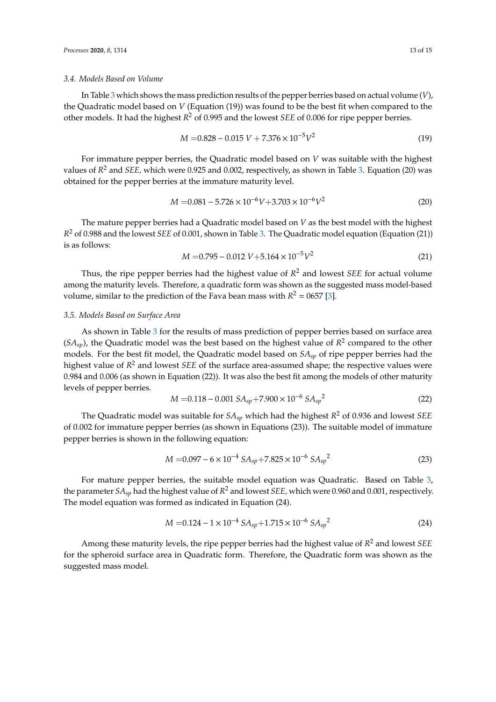#### *3.4. Models Based on Volume*

In Table [3](#page-9-0) which shows the mass prediction results of the pepper berries based on actual volume (*V*), the Quadratic model based on *V* (Equation (19)) was found to be the best fit when compared to the other models. It had the highest *R* <sup>2</sup> of 0.995 and the lowest *SEE* of 0.006 for ripe pepper berries.

$$
M = 0.828 - 0.015 V + 7.376 \times 10^{-5} V^2
$$
\n(19)

For immature pepper berries, the Quadratic model based on *V* was suitable with the highest values of *R* <sup>2</sup> and *SEE,* which were 0.925 and 0.002, respectively, as shown in Table [3.](#page-9-0) Equation (20) was obtained for the pepper berries at the immature maturity level.

$$
M = 0.081 - 5.726 \times 10^{-6} V + 3.703 \times 10^{-6} V^2
$$
 (20)

The mature pepper berries had a Quadratic model based on *V* as the best model with the highest *R* <sup>2</sup> of 0.988 and the lowest *SEE* of 0.001, shown in Table [3.](#page-9-0) The Quadratic model equation (Equation (21)) is as follows:

$$
M = 0.795 - 0.012 V + 5.164 \times 10^{-5} V^2
$$
\n(21)

Thus, the ripe pepper berries had the highest value of *R* <sup>2</sup> and lowest *SEE* for actual volume among the maturity levels. Therefore, a quadratic form was shown as the suggested mass model-based volume, similar to the prediction of the Fava bean mass with  $R^2 = 0657$  [\[3\]](#page-14-2).

#### *3.5. Models Based on Surface Area*

As shown in Table [3](#page-9-0) for the results of mass prediction of pepper berries based on surface area  $(SA<sub>sp</sub>)$ , the Quadratic model was the best based on the highest value of  $R<sup>2</sup>$  compared to the other models. For the best fit model, the Quadratic model based on *SAsp* of ripe pepper berries had the highest value of *R* <sup>2</sup> and lowest *SEE* of the surface area-assumed shape; the respective values were 0.984 and 0.006 (as shown in Equation (22)). It was also the best fit among the models of other maturity levels of pepper berries.

$$
M = 0.118 - 0.001 S A_{sp} + 7.900 \times 10^{-6} S A_{sp}^{2}
$$
 (22)

The Quadratic model was suitable for *SAsp* which had the highest *R* <sup>2</sup> of 0.936 and lowest *SEE* of 0.002 for immature pepper berries (as shown in Equations (23)). The suitable model of immature pepper berries is shown in the following equation:

$$
M = 0.097 - 6 \times 10^{-4} S A_{sp} + 7.825 \times 10^{-6} S A_{sp}^{2}
$$
 (23)

For mature pepper berries, the suitable model equation was Quadratic. Based on Table [3,](#page-9-0) the parameter  $SA_{sp}$  had the highest value of  $R^2$  and lowest *SEE,* which were 0.960 and 0.001, respectively. The model equation was formed as indicated in Equation (24).

$$
M = 0.124 - 1 \times 10^{-4} S A_{sp} + 1.715 \times 10^{-6} S A_{sp}^{2}
$$
 (24)

Among these maturity levels, the ripe pepper berries had the highest value of *R* <sup>2</sup> and lowest *SEE* for the spheroid surface area in Quadratic form. Therefore, the Quadratic form was shown as the suggested mass model.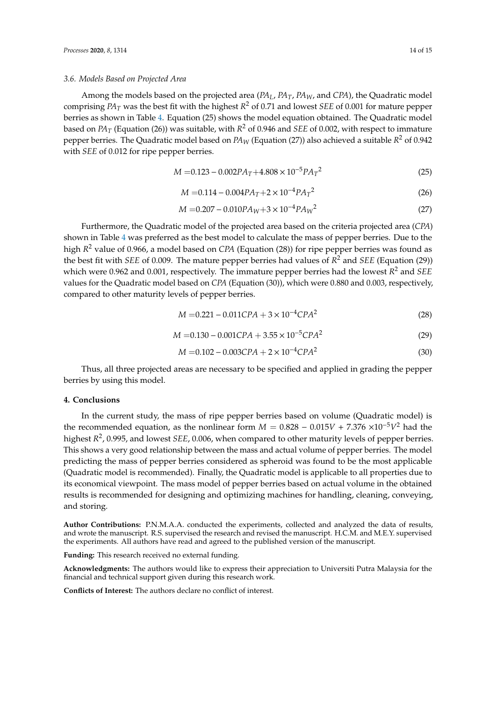#### *3.6. Models Based on Projected Area*

Among the models based on the projected area (*PAL*, *PAT*, *PAW*, and *CPA*), the Quadratic model comprising *PA<sup>T</sup>* was the best fit with the highest *R* <sup>2</sup> of 0.71 and lowest *SEE* of 0.001 for mature pepper berries as shown in Table [4.](#page-10-0) Equation (25) shows the model equation obtained. The Quadratic model based on *PA<sup>T</sup>* (Equation (26)) was suitable, with *R* <sup>2</sup> of 0.946 and *SEE* of 0.002, with respect to immature pepper berries. The Quadratic model based on *PA<sup>W</sup>* (Equation (27)) also achieved a suitable *R* <sup>2</sup> of 0.942 with *SEE* of 0.012 for ripe pepper berries.

$$
M = 0.123 - 0.002PA_T + 4.808 \times 10^{-5}PA_T^2
$$
\n(25)

$$
M = 0.114 - 0.004PA_T + 2 \times 10^{-4}PA_T^2 \tag{26}
$$

$$
M = 0.207 - 0.010PA_W + 3 \times 10^{-4}PA_W^2
$$
\n<sup>(27)</sup>

Furthermore, the Quadratic model of the projected area based on the criteria projected area (*CPA*) shown in Table [4](#page-10-0) was preferred as the best model to calculate the mass of pepper berries. Due to the high *R* <sup>2</sup> value of 0.966, a model based on *CPA* (Equation (28)) for ripe pepper berries was found as the best fit with *SEE* of 0.009. The mature pepper berries had values of *R* <sup>2</sup> and *SEE* (Equation (29)) which were 0.962 and 0.001, respectively. The immature pepper berries had the lowest *R* <sup>2</sup> and *SEE* values for the Quadratic model based on *CPA* (Equation (30)), which were 0.880 and 0.003, respectively, compared to other maturity levels of pepper berries.

$$
M = 0.221 - 0.011CPA + 3 \times 10^{-4}CPA^2
$$
 (28)

$$
M = 0.130 - 0.001CPA + 3.55 \times 10^{-5}CPA^2
$$
 (29)

$$
M = 0.102 - 0.003CPA + 2 \times 10^{-4}CPA^2 \tag{30}
$$

Thus, all three projected areas are necessary to be specified and applied in grading the pepper berries by using this model.

## **4. Conclusions**

In the current study, the mass of ripe pepper berries based on volume (Quadratic model) is the recommended equation, as the nonlinear form  $M = 0.828 - 0.015V + 7.376 \times 10^{-5}V^2$  had the highest *R* 2 , 0.995, and lowest *SEE*, 0.006, when compared to other maturity levels of pepper berries. This shows a very good relationship between the mass and actual volume of pepper berries. The model predicting the mass of pepper berries considered as spheroid was found to be the most applicable (Quadratic model is recommended). Finally, the Quadratic model is applicable to all properties due to its economical viewpoint. The mass model of pepper berries based on actual volume in the obtained results is recommended for designing and optimizing machines for handling, cleaning, conveying, and storing.

**Author Contributions:** P.N.M.A.A. conducted the experiments, collected and analyzed the data of results, and wrote the manuscript. R.S. supervised the research and revised the manuscript. H.C.M. and M.E.Y. supervised the experiments. All authors have read and agreed to the published version of the manuscript.

**Funding:** This research received no external funding.

**Acknowledgments:** The authors would like to express their appreciation to Universiti Putra Malaysia for the financial and technical support given during this research work.

**Conflicts of Interest:** The authors declare no conflict of interest.